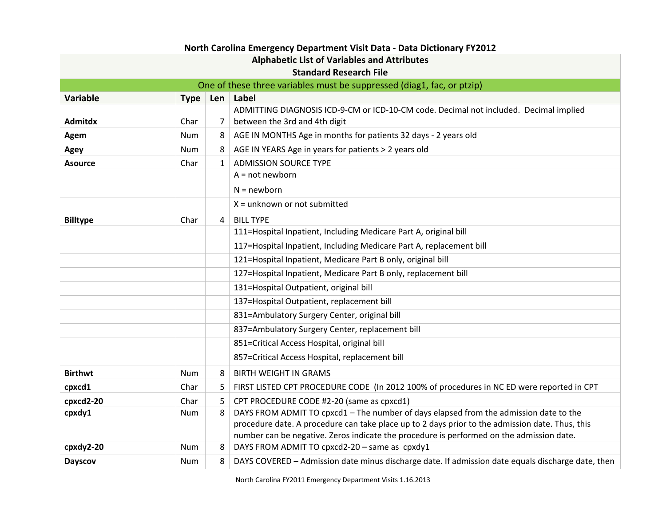| North Carolina Emergency Department Visit Data - Data Dictionary FY2012 |            |              |                                                                                                   |  |  |  |
|-------------------------------------------------------------------------|------------|--------------|---------------------------------------------------------------------------------------------------|--|--|--|
| <b>Alphabetic List of Variables and Attributes</b>                      |            |              |                                                                                                   |  |  |  |
| <b>Standard Research File</b>                                           |            |              |                                                                                                   |  |  |  |
| One of these three variables must be suppressed (diag1, fac, or ptzip)  |            |              |                                                                                                   |  |  |  |
| <b>Variable</b>                                                         | Type Len   |              | Label                                                                                             |  |  |  |
|                                                                         |            |              | ADMITTING DIAGNOSIS ICD-9-CM or ICD-10-CM code. Decimal not included. Decimal implied             |  |  |  |
| Admitdx                                                                 | Char       | 7            | between the 3rd and 4th digit                                                                     |  |  |  |
| Agem                                                                    | <b>Num</b> | 8            | AGE IN MONTHS Age in months for patients 32 days - 2 years old                                    |  |  |  |
| Agey                                                                    | <b>Num</b> | 8            | AGE IN YEARS Age in years for patients > 2 years old                                              |  |  |  |
| <b>Asource</b>                                                          | Char       | $\mathbf{1}$ | <b>ADMISSION SOURCE TYPE</b>                                                                      |  |  |  |
|                                                                         |            |              | $A = not newborn$                                                                                 |  |  |  |
|                                                                         |            |              | $N = newborn$                                                                                     |  |  |  |
|                                                                         |            |              | $X =$ unknown or not submitted                                                                    |  |  |  |
| <b>Billtype</b>                                                         | Char       | 4            | <b>BILL TYPE</b>                                                                                  |  |  |  |
|                                                                         |            |              | 111=Hospital Inpatient, Including Medicare Part A, original bill                                  |  |  |  |
|                                                                         |            |              | 117=Hospital Inpatient, Including Medicare Part A, replacement bill                               |  |  |  |
|                                                                         |            |              | 121=Hospital Inpatient, Medicare Part B only, original bill                                       |  |  |  |
|                                                                         |            |              | 127=Hospital Inpatient, Medicare Part B only, replacement bill                                    |  |  |  |
|                                                                         |            |              | 131=Hospital Outpatient, original bill                                                            |  |  |  |
|                                                                         |            |              | 137=Hospital Outpatient, replacement bill                                                         |  |  |  |
|                                                                         |            |              | 831=Ambulatory Surgery Center, original bill                                                      |  |  |  |
|                                                                         |            |              | 837=Ambulatory Surgery Center, replacement bill                                                   |  |  |  |
|                                                                         |            |              | 851=Critical Access Hospital, original bill                                                       |  |  |  |
|                                                                         |            |              | 857=Critical Access Hospital, replacement bill                                                    |  |  |  |
| <b>Birthwt</b>                                                          | <b>Num</b> | 8            | <b>BIRTH WEIGHT IN GRAMS</b>                                                                      |  |  |  |
| cpxcd1                                                                  | Char       | 5            | FIRST LISTED CPT PROCEDURE CODE (In 2012 100% of procedures in NC ED were reported in CPT         |  |  |  |
| cpxcd2-20                                                               | Char       | 5            | CPT PROCEDURE CODE #2-20 (same as cpxcd1)                                                         |  |  |  |
| cpxdy1                                                                  | Num        | 8            | DAYS FROM ADMIT TO cpxcd1 - The number of days elapsed from the admission date to the             |  |  |  |
|                                                                         |            |              | procedure date. A procedure can take place up to 2 days prior to the admission date. Thus, this   |  |  |  |
|                                                                         |            |              | number can be negative. Zeros indicate the procedure is performed on the admission date.          |  |  |  |
| cpxdy2-20                                                               | <b>Num</b> | 8            | DAYS FROM ADMIT TO cpxcd2-20 - same as cpxdy1                                                     |  |  |  |
| <b>Dayscov</b>                                                          | <b>Num</b> | 8            | DAYS COVERED - Admission date minus discharge date. If admission date equals discharge date, then |  |  |  |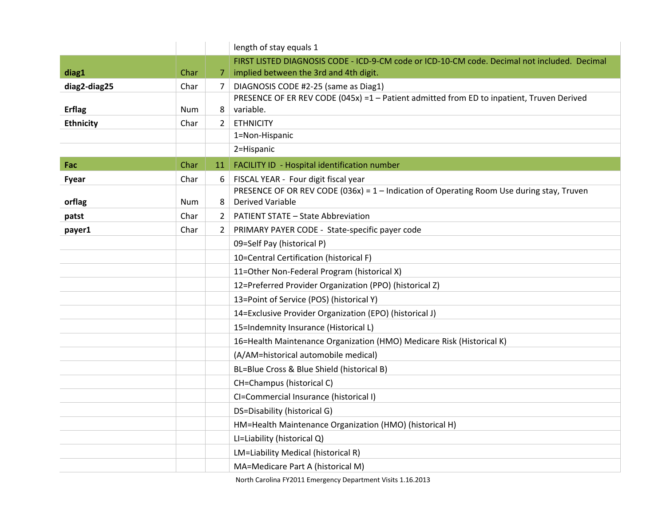|                  |            |                | length of stay equals 1                                                                      |
|------------------|------------|----------------|----------------------------------------------------------------------------------------------|
|                  |            |                | FIRST LISTED DIAGNOSIS CODE - ICD-9-CM code or ICD-10-CM code. Decimal not included. Decimal |
| diag1            | Char       |                | implied between the 3rd and 4th digit.                                                       |
| diag2-diag25     | Char       | $\overline{7}$ | DIAGNOSIS CODE #2-25 (same as Diag1)                                                         |
|                  |            |                | PRESENCE OF ER REV CODE (045x) =1 - Patient admitted from ED to inpatient, Truven Derived    |
| <b>Erflag</b>    | <b>Num</b> | 8              | variable.                                                                                    |
| <b>Ethnicity</b> | Char       | 2              | <b>ETHNICITY</b>                                                                             |
|                  |            |                | 1=Non-Hispanic                                                                               |
|                  |            |                | 2=Hispanic                                                                                   |
| Fac              | Char       | 11             | FACILITY ID - Hospital identification number                                                 |
| Fyear            | Char       | 6              | FISCAL YEAR - Four digit fiscal year                                                         |
|                  |            |                | PRESENCE OF OR REV CODE (036x) = 1 - Indication of Operating Room Use during stay, Truven    |
| orflag           | Num        | 8              | <b>Derived Variable</b>                                                                      |
| patst            | Char       | 2              | <b>PATIENT STATE - State Abbreviation</b>                                                    |
| payer1           | Char       | $2^{\circ}$    | PRIMARY PAYER CODE - State-specific payer code                                               |
|                  |            |                | 09=Self Pay (historical P)                                                                   |
|                  |            |                | 10=Central Certification (historical F)                                                      |
|                  |            |                | 11=Other Non-Federal Program (historical X)                                                  |
|                  |            |                | 12=Preferred Provider Organization (PPO) (historical Z)                                      |
|                  |            |                | 13=Point of Service (POS) (historical Y)                                                     |
|                  |            |                | 14=Exclusive Provider Organization (EPO) (historical J)                                      |
|                  |            |                | 15=Indemnity Insurance (Historical L)                                                        |
|                  |            |                | 16=Health Maintenance Organization (HMO) Medicare Risk (Historical K)                        |
|                  |            |                | (A/AM=historical automobile medical)                                                         |
|                  |            |                | BL=Blue Cross & Blue Shield (historical B)                                                   |
|                  |            |                | CH=Champus (historical C)                                                                    |
|                  |            |                | CI=Commercial Insurance (historical I)                                                       |
|                  |            |                | DS=Disability (historical G)                                                                 |
|                  |            |                | HM=Health Maintenance Organization (HMO) (historical H)                                      |
|                  |            |                | LI=Liability (historical Q)                                                                  |
|                  |            |                | LM=Liability Medical (historical R)                                                          |
|                  |            |                | MA=Medicare Part A (historical M)                                                            |

North Carolina FY2011 Emergency Department Visits 1.16.2013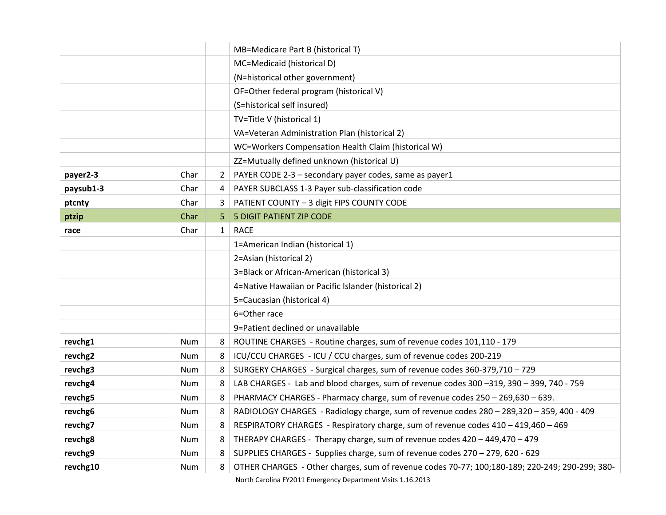|           |            |              | MB=Medicare Part B (historical T)                                                              |
|-----------|------------|--------------|------------------------------------------------------------------------------------------------|
|           |            |              | MC=Medicaid (historical D)                                                                     |
|           |            |              | (N=historical other government)                                                                |
|           |            |              | OF=Other federal program (historical V)                                                        |
|           |            |              | (S=historical self insured)                                                                    |
|           |            |              | TV=Title V (historical 1)                                                                      |
|           |            |              | VA=Veteran Administration Plan (historical 2)                                                  |
|           |            |              | WC=Workers Compensation Health Claim (historical W)                                            |
|           |            |              | ZZ=Mutually defined unknown (historical U)                                                     |
| payer2-3  | Char       | 2            | PAYER CODE 2-3 - secondary payer codes, same as payer1                                         |
| paysub1-3 | Char       | 4            | PAYER SUBCLASS 1-3 Payer sub-classification code                                               |
| ptcnty    | Char       | 3            | PATIENT COUNTY - 3 digit FIPS COUNTY CODE                                                      |
| ptzip     | Char       | 5            | <b>5 DIGIT PATIENT ZIP CODE</b>                                                                |
| race      | Char       | $\mathbf{1}$ | <b>RACE</b>                                                                                    |
|           |            |              | 1=American Indian (historical 1)                                                               |
|           |            |              | 2=Asian (historical 2)                                                                         |
|           |            |              | 3=Black or African-American (historical 3)                                                     |
|           |            |              | 4=Native Hawaiian or Pacific Islander (historical 2)                                           |
|           |            |              | 5=Caucasian (historical 4)                                                                     |
|           |            |              | 6=Other race                                                                                   |
|           |            |              | 9=Patient declined or unavailable                                                              |
| revchg1   | Num        | 8            | ROUTINE CHARGES - Routine charges, sum of revenue codes 101,110 - 179                          |
| revchg2   | Num        | 8            | ICU/CCU CHARGES - ICU / CCU charges, sum of revenue codes 200-219                              |
| revchg3   | <b>Num</b> | 8            | SURGERY CHARGES - Surgical charges, sum of revenue codes 360-379,710 - 729                     |
| revchg4   | <b>Num</b> | 8            | LAB CHARGES - Lab and blood charges, sum of revenue codes 300 -319, 390 - 399, 740 - 759       |
| revchg5   | Num        | 8            | PHARMACY CHARGES - Pharmacy charge, sum of revenue codes 250 - 269,630 - 639.                  |
| revchg6   | Num        | 8            | RADIOLOGY CHARGES - Radiology charge, sum of revenue codes 280 - 289,320 - 359, 400 - 409      |
| revchg7   | <b>Num</b> | 8            | RESPIRATORY CHARGES - Respiratory charge, sum of revenue codes 410 - 419,460 - 469             |
| revchg8   | <b>Num</b> | 8            | THERAPY CHARGES - Therapy charge, sum of revenue codes 420 - 449,470 - 479                     |
| revchg9   | <b>Num</b> | 8            | SUPPLIES CHARGES - Supplies charge, sum of revenue codes 270 - 279, 620 - 629                  |
| revchg10  | Num        | 8            | OTHER CHARGES - Other charges, sum of revenue codes 70-77; 100;180-189; 220-249; 290-299; 380- |

North Carolina FY2011 Emergency Department Visits 1.16.2013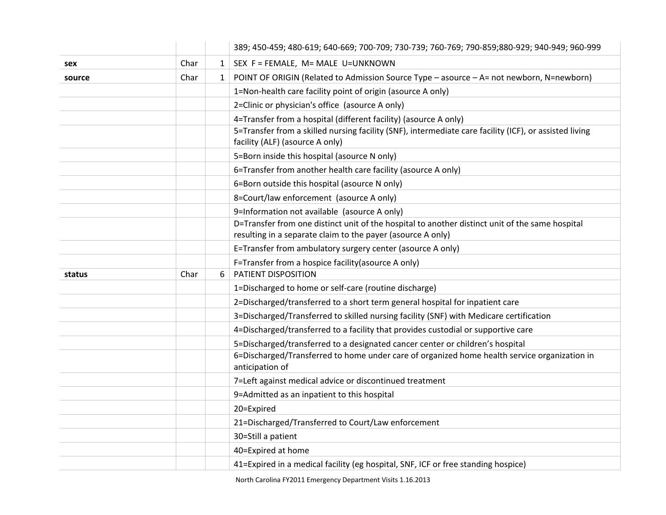|        |      |              | 389; 450-459; 480-619; 640-669; 700-709; 730-739; 760-769; 790-859;880-929; 940-949; 960-999                                                                   |
|--------|------|--------------|----------------------------------------------------------------------------------------------------------------------------------------------------------------|
| sex    | Char | $\mathbf{1}$ | SEX F = FEMALE, M= MALE U=UNKNOWN                                                                                                                              |
| source | Char | $\mathbf{1}$ | POINT OF ORIGIN (Related to Admission Source Type - asource - A= not newborn, N=newborn)                                                                       |
|        |      |              | 1=Non-health care facility point of origin (asource A only)                                                                                                    |
|        |      |              | 2=Clinic or physician's office (asource A only)                                                                                                                |
|        |      |              | 4=Transfer from a hospital (different facility) (asource A only)                                                                                               |
|        |      |              | 5=Transfer from a skilled nursing facility (SNF), intermediate care facility (ICF), or assisted living<br>facility (ALF) (asource A only)                      |
|        |      |              | 5=Born inside this hospital (asource N only)                                                                                                                   |
|        |      |              | 6=Transfer from another health care facility (asource A only)                                                                                                  |
|        |      |              | 6=Born outside this hospital (asource N only)                                                                                                                  |
|        |      |              | 8=Court/law enforcement (asource A only)                                                                                                                       |
|        |      |              | 9=Information not available (asource A only)                                                                                                                   |
|        |      |              | D=Transfer from one distinct unit of the hospital to another distinct unit of the same hospital<br>resulting in a separate claim to the payer (asource A only) |
|        |      |              | E=Transfer from ambulatory surgery center (asource A only)                                                                                                     |
|        |      |              | F=Transfer from a hospice facility (asource A only)                                                                                                            |
|        |      |              |                                                                                                                                                                |
| status | Char | 6            | PATIENT DISPOSITION                                                                                                                                            |
|        |      |              | 1=Discharged to home or self-care (routine discharge)                                                                                                          |
|        |      |              | 2=Discharged/transferred to a short term general hospital for inpatient care                                                                                   |
|        |      |              | 3=Discharged/Transferred to skilled nursing facility (SNF) with Medicare certification                                                                         |
|        |      |              | 4=Discharged/transferred to a facility that provides custodial or supportive care                                                                              |
|        |      |              | 5=Discharged/transferred to a designated cancer center or children's hospital                                                                                  |
|        |      |              | 6=Discharged/Transferred to home under care of organized home health service organization in<br>anticipation of                                                |
|        |      |              | 7=Left against medical advice or discontinued treatment                                                                                                        |
|        |      |              | 9=Admitted as an inpatient to this hospital                                                                                                                    |
|        |      |              | 20=Expired                                                                                                                                                     |
|        |      |              | 21=Discharged/Transferred to Court/Law enforcement                                                                                                             |
|        |      |              | 30=Still a patient                                                                                                                                             |
|        |      |              | 40=Expired at home                                                                                                                                             |